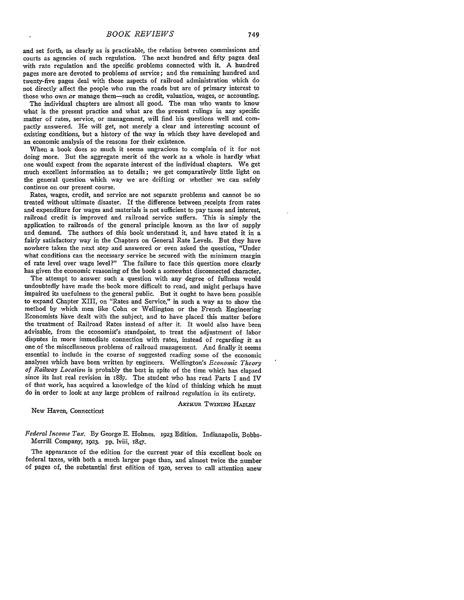and set forth, as clearly as is practicable, the relation between commissions and courts as agencies of such regulation. The next hundred and fifty pages deal with rate regulation and the specific problems connected with it. A hundred pages more are devoted to problems of service; and the remaining hundred and twenty-five pages deal with those aspects of railroad administration which do not directly affect the people who run the roads but are of primary interest to those who own or manage them-such as credit, valuation, wages, or accounting.

The individual chapters are almost all good. The man who wants to know what is the present practice and what are the present rulings in any specific matter of rates, service, or management, will find his questions well and compactly answered. He will get, not merely a clear and interesting account of existing conditions, but a history of the way in which they have developed and an economic analysis of the reasons for their existence.

When a book does so much it seems ungracious to complain of it for not doing more. But the aggregate merit of the work as a whole is hardly what one would expect from the separate interest of the individual chapters. We get much excellent information as to details; we get comparatively little light on the general question which way we are drifting or whether we can safely continue on our present course.

Rates, wages, credit, and service are not separate problems and cannot be so treated without ultimate disaster. If the difference between receipts from rates and expenditure for wages and materials is not sufficient to pay taxes and interest, railroad credit is improved and railroad service suffers. This is simply the application to railroads of the general principle known as the law of supply and demand. The authors of this book understand it, and have stated it in a fairly satisfactory way in the Chapters on General Rate Levels. But they have nowhere taken the next step and answered or even asked the question, "Under what conditions can the necessary service be secured with the minimum margin of rate level over wage level?" The failure to face this question more clearly has given the economic reasoning of the book a somewhat disconnected character.

The attempt to answer such a question with any degree of fullness would undoubtedly have made the book more difficult to read, and might perhaps have impaired its usefulness to the general public. But it ought to have been possible to expand Chapter XIII, on "Rates and Service," in such a way as to show the method by which men like Cohn or Wellington or the French Engineering Economists liave dealt with the subject, and to have placed this matter before the treatment of Railroad Rates instead of after it. It would also have been advisable, from the economist's standpoint, to treat the adjustment of labor disputes in more immediate connection with rates, instead of regarding it as one of the miscellaneous problems of railroad management. And finally it seems essential to include in the course of suggested reading some of the economic analyses which have been written by engineers. Wellington's *Economic Theory of Railway Location* is probably the best in spite of the time which has elapsed since its last real revision in 1887. The student who has read Parts I and IV of that work, has acquired a knowledge of the kind of thinking which he must do in order to look at any large problem of railroad regulation in its entirety.

New Haven, Connecticut

**ARTHUR TWINING HADLEY** 

*Federal Income Tax.* By George E. Holmes. 1923 Edition. Indianapolis, Bobbs-Merrill Company, 1923. pp. lviii, 1847.

The appearance of the edition for the current year of this excellent book on federal taxes, with both a much larger page than, and almost twice the number of pages of, the substantial first edition of ig2o, serves to call attention anew